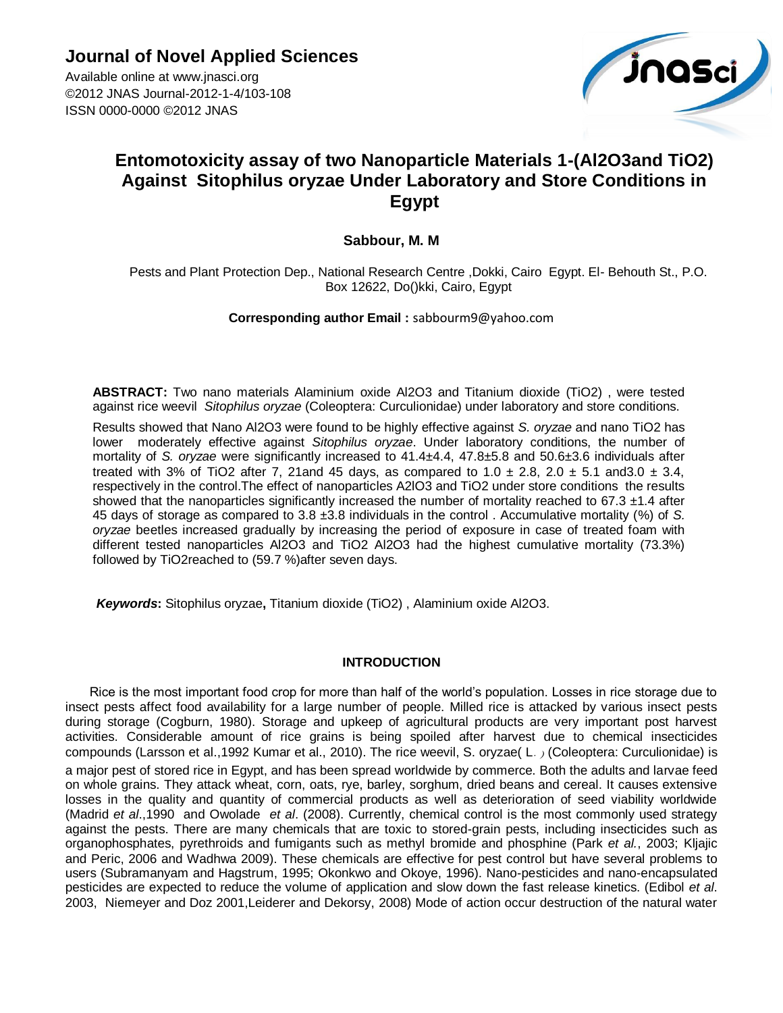**Journal of Novel Applied Sciences**

Available online at www.jnasci.org ©2012 JNAS Journal-2012-1-4/103-108 ISSN 0000-0000 ©2012 JNAS



# **Entomotoxicity assay of two Nanoparticle Materials 1-(Al2O3and TiO2) Against Sitophilus oryzae Under Laboratory and Store Conditions in Egypt**

## **Sabbour, M. M**

Pests and Plant Protection Dep., National Research Centre ,Dokki, Cairo Egypt. El- Behouth St., P.O. Box 12622, Do()kki, Cairo, Egypt

**Corresponding author Email :** [sabbourm9@yahoo.com](mailto:sabbourm9@yahoo.com)

**ABSTRACT:** Two nano materials Alaminium oxide Al2O3 and Titanium dioxide (TiO2) , were tested against rice weevil *Sitophilus oryzae* [\(Coleoptera:](http://en.wikipedia.org/wiki/Beetle) [Curculionidae\)](http://en.wikipedia.org/wiki/Curculionidae) under laboratory and store conditions.

Results showed that Nano Al2O3 were found to be highly effective against *S. oryzae* and nano TiO2 has lower moderately effective against *Sitophilus oryzae*. Under laboratory conditions, the number of mortality of *S. oryzae* were significantly increased to 41.4±4.4, 47.8±5.8 and 50.6±3.6 individuals after treated with 3% of TiO2 after 7, 21and 45 days, as compared to  $1.0 \pm 2.8$ ,  $2.0 \pm 5.1$  and 3.0  $\pm 3.4$ , respectively in the control.The effect of nanoparticles A2lO3 and TiO2 under store conditions the results showed that the nanoparticles significantly increased the number of mortality reached to  $67.3 \pm 1.4$  after 45 days of storage as compared to 3.8 ±3.8 individuals in the control . Accumulative mortality (%) of *S. oryzae* beetles increased gradually by increasing the period of exposure in case of treated foam with different tested nanoparticles Al2O3 and TiO2 Al2O3 had the highest cumulative mortality (73.3%) followed by TiO2reached to (59.7 %)after seven days.

*Keywords***:** Sitophilus oryzae**,** Titanium dioxide (TiO2) , Alaminium oxide Al2O3.

## **INTRODUCTION**

Rice is the most important food crop for more than half of the world"s population. Losses in rice storage due to insect pests affect food availability for a large number of people. Milled rice is attacked by various insect pests during storage (Cogburn, 1980). Storage and upkeep of agricultural products are very important post harvest activities. Considerable amount of rice grains is being spoiled after harvest due to chemical insecticides compounds (Larsson et al.,1992 Kumar et al., 2010). The rice weevil, S. oryzae( L.) (Coleoptera: Curculionidae) is a major pest of stored rice in Egypt, and has been spread worldwide by commerce. Both the adults and larvae feed on whole grains. They attack wheat, corn, oats, rye, barley, sorghum, dried beans and cereal. It causes extensive losses in the quality and quantity of commercial products as well as deterioration of seed viability worldwide (Madrid *et al*.,1990 and Owolade *et al*. (2008). Currently, chemical control is the most commonly used strategy against the pests. There are many chemicals that are toxic to stored-grain pests, including insecticides such as organophosphates, pyrethroids and fumigants such as methyl bromide and phosphine (Park *et al.*, 2003; Kljajic and Peric, 2006 and Wadhwa 2009). These chemicals are effective for pest control but have several problems to users (Subramanyam and Hagstrum, 1995; Okonkwo and Okoye, 1996). Nano-pesticides and nano-encapsulated pesticides are expected to reduce the volume of application and slow down the fast release kinetics. (Edibol *et al*. 2003, Niemeyer and Doz 2001,Leiderer and Dekorsy, 2008) Mode of action occur destruction of the natural water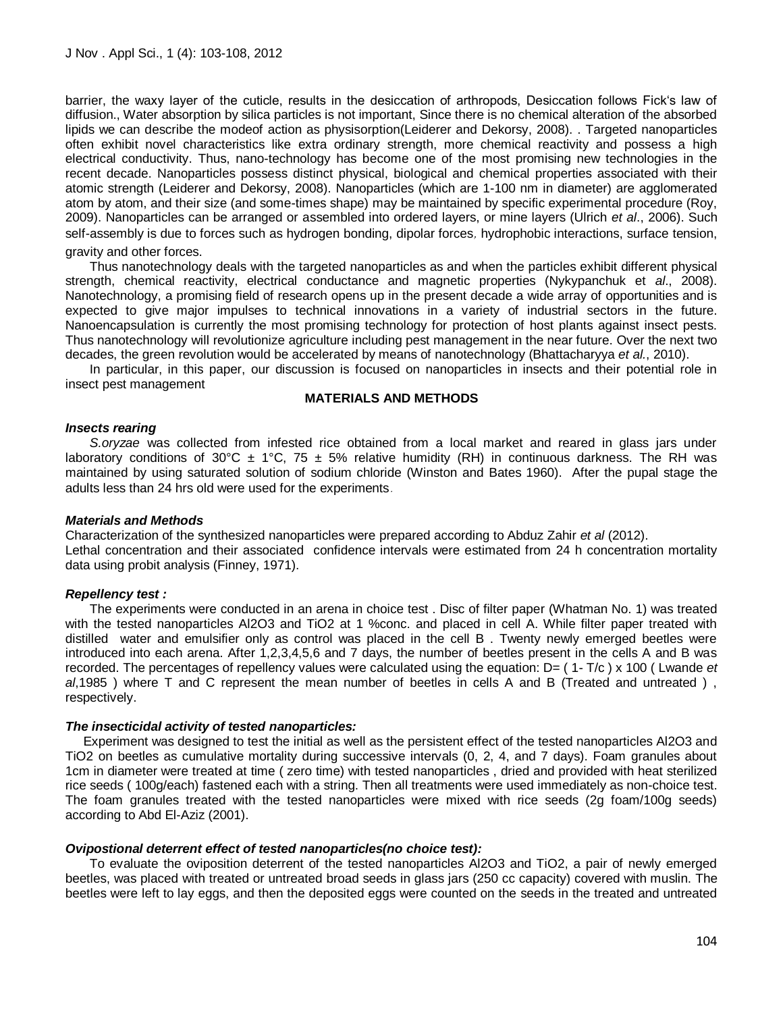barrier, the waxy layer of the cuticle, results in the desiccation of arthropods, Desiccation follows Fick"s law of diffusion., Water absorption by silica particles is not important, Since there is no chemical alteration of the absorbed lipids we can describe the modeof action as physisorption(Leiderer and Dekorsy, 2008). . Targeted nanoparticles often exhibit novel characteristics like extra ordinary strength, more chemical reactivity and possess a high electrical conductivity. Thus, nano-technology has become one of the most promising new technologies in the recent decade. Nanoparticles possess distinct physical, biological and chemical properties associated with their atomic strength (Leiderer and Dekorsy, 2008). Nanoparticles (which are 1-100 nm in diameter) are agglomerated atom by atom, and their size (and some-times shape) may be maintained by specific experimental procedure (Roy, 2009). Nanoparticles can be arranged or assembled into ordered layers, or mine layers (Ulrich *et al*., 2006). Such self-assembly is due to forces such as hydrogen bonding, dipolar forces, hydrophobic interactions, surface tension,

gravity and other forces.

Thus nanotechnology deals with the targeted nanoparticles as and when the particles exhibit different physical strength, chemical reactivity, electrical conductance and magnetic properties (Nykypanchuk et *al*., 2008). Nanotechnology, a promising field of research opens up in the present decade a wide array of opportunities and is expected to give major impulses to technical innovations in a variety of industrial sectors in the future. Nanoencapsulation is currently the most promising technology for protection of host plants against insect pests. Thus nanotechnology will revolutionize agriculture including pest management in the near future. Over the next two decades, the green revolution would be accelerated by means of nanotechnology (Bhattacharyya *et al.*, 2010).

In particular, in this paper, our discussion is focused on nanoparticles in insects and their potential role in insect pest management

## **MATERIALS AND METHODS**

#### *Insects rearing*

*S.oryzae* was collected from infested rice obtained from a local market and reared in glass jars under laboratory conditions of 30°C  $\pm$  1°C, 75  $\pm$  5% relative humidity (RH) in continuous darkness. The RH was maintained by using saturated solution of sodium chloride (Winston and Bates 1960). After the pupal stage the adults less than 24 hrs old were used for the experiments.

## *Materials and Methods*

Characterization of the synthesized nanoparticles were prepared according to Abduz Zahir *et al* (2012). Lethal concentration and their associated confidence intervals were estimated from 24 h concentration mortality data using probit analysis (Finney, 1971).

## *Repellency test :*

The experiments were conducted in an arena in choice test . Disc of filter paper (Whatman No. 1) was treated with the tested nanoparticles Al2O3 and TiO2 at 1 %conc. and placed in cell A. While filter paper treated with distilled water and emulsifier only as control was placed in the cell B . Twenty newly emerged beetles were introduced into each arena. After 1,2,3,4,5,6 and 7 days, the number of beetles present in the cells A and B was recorded. The percentages of repellency values were calculated using the equation: D= ( 1- T/c ) x 100 ( Lwande *et al*,1985 ) where T and C represent the mean number of beetles in cells A and B (Treated and untreated ) , respectively.

#### *The insecticidal activity of tested nanoparticles:*

 Experiment was designed to test the initial as well as the persistent effect of the tested nanoparticles Al2O3 and TiO2 on beetles as cumulative mortality during successive intervals (0, 2, 4, and 7 days). Foam granules about 1cm in diameter were treated at time ( zero time) with tested nanoparticles , dried and provided with heat sterilized rice seeds ( 100g/each) fastened each with a string. Then all treatments were used immediately as non-choice test. The foam granules treated with the tested nanoparticles were mixed with rice seeds (2g foam/100g seeds) according to Abd El-Aziz (2001).

## *Ovipostional deterrent effect of tested nanoparticles(no choice test):*

To evaluate the oviposition deterrent of the tested nanoparticles Al2O3 and TiO2, a pair of newly emerged beetles, was placed with treated or untreated broad seeds in glass jars (250 cc capacity) covered with muslin. The beetles were left to lay eggs, and then the deposited eggs were counted on the seeds in the treated and untreated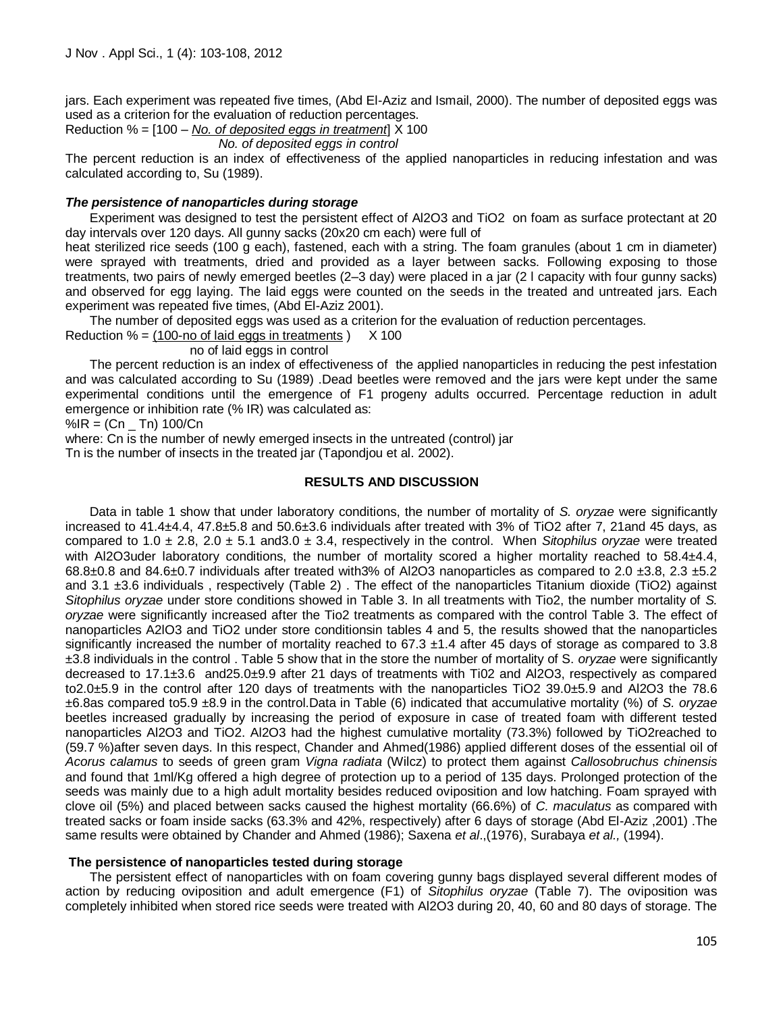jars. Each experiment was repeated five times, (Abd El-Aziz and Ismail, 2000). The number of deposited eggs was used as a criterion for the evaluation of reduction percentages.

Reduction % = [100 – *No. of deposited eggs in treatment*] X 100

*No. of deposited eggs in control*

The percent reduction is an index of effectiveness of the applied nanoparticles in reducing infestation and was calculated according to, Su (1989).

## *The persistence of nanoparticles during storage*

Experiment was designed to test the persistent effect of Al2O3 and TiO2 on foam as surface protectant at 20 day intervals over 120 days. All gunny sacks (20x20 cm each) were full of

heat sterilized rice seeds (100 g each), fastened, each with a string. The foam granules (about 1 cm in diameter) were sprayed with treatments, dried and provided as a layer between sacks. Following exposing to those treatments, two pairs of newly emerged beetles (2–3 day) were placed in a jar (2 l capacity with four gunny sacks) and observed for egg laying. The laid eggs were counted on the seeds in the treated and untreated jars. Each experiment was repeated five times, (Abd El-Aziz 2001).

The number of deposited eggs was used as a criterion for the evaluation of reduction percentages.

Reduction  $% = (100$ -no of laid eggs in treatments  $)$  X 100

#### no of laid eggs in control

The percent reduction is an index of effectiveness of the applied nanoparticles in reducing the pest infestation and was calculated according to Su (1989) .Dead beetles were removed and the jars were kept under the same experimental conditions until the emergence of F1 progeny adults occurred. Percentage reduction in adult emergence or inhibition rate (% IR) was calculated as:

 $%$ IR = (Cn  $\_$  Tn) 100/Cn

where: Cn is the number of newly emerged insects in the untreated (control) jar

Tn is the number of insects in the treated jar (Tapondjou et al. 2002).

## **RESULTS AND DISCUSSION**

Data in table 1 show that under laboratory conditions, the number of mortality of *S. oryzae* were significantly increased to 41.4±4.4, 47.8±5.8 and 50.6±3.6 individuals after treated with 3% of TiO2 after 7, 21and 45 days, as compared to 1.0  $\pm$  2.8, 2.0  $\pm$  5.1 and 3.0  $\pm$  3.4, respectively in the control. When *Sitophilus oryzae* were treated with Al2O3uder laboratory conditions, the number of mortality scored a higher mortality reached to 58.4±4.4,  $68.8\pm0.8$  and  $84.6\pm0.7$  individuals after treated with3% of Al2O3 nanoparticles as compared to 2.0  $\pm3.8$ , 2.3  $\pm5.2$ and 3.1 ±3.6 individuals , respectively (Table 2) . The effect of the nanoparticles Titanium dioxide (TiO2) against *Sitophilus oryzae* under store conditions showed in Table 3. In all treatments with Tio2, the number mortality of *S. oryzae* were significantly increased after the Tio2 treatments as compared with the control Table 3. The effect of nanoparticles A2lO3 and TiO2 under store conditionsin tables 4 and 5, the results showed that the nanoparticles significantly increased the number of mortality reached to  $67.3 \pm 1.4$  after 45 days of storage as compared to 3.8 ±3.8 individuals in the control . Table 5 show that in the store the number of mortality of S. *oryzae* were significantly decreased to 17.1±3.6 and25.0±9.9 after 21 days of treatments with Ti02 and Al2O3, respectively as compared to2.0±5.9 in the control after 120 days of treatments with the nanoparticles TiO2 39.0±5.9 and Al2O3 the 78.6 ±6.8as compared to5.9 ±8.9 in the control.Data in Table (6) indicated that accumulative mortality (%) of *S. oryzae*  beetles increased gradually by increasing the period of exposure in case of treated foam with different tested nanoparticles Al2O3 and TiO2. Al2O3 had the highest cumulative mortality (73.3%) followed by TiO2reached to (59.7 %)after seven days. In this respect, Chander and Ahmed(1986) applied different doses of the essential oil of *Acorus calamus* to seeds of green gram *Vigna radiata* (Wilcz) to protect them against *Callosobruchus chinensis*  and found that 1ml/Kg offered a high degree of protection up to a period of 135 days. Prolonged protection of the seeds was mainly due to a high adult mortality besides reduced oviposition and low hatching. Foam sprayed with clove oil (5%) and placed between sacks caused the highest mortality (66.6%) of *C. maculatus* as compared with treated sacks or foam inside sacks (63.3% and 42%, respectively) after 6 days of storage (Abd El-Aziz ,2001) .The same results were obtained by Chander and Ahmed (1986); Saxena *et al*.,(1976), Surabaya *et al.,* (1994).

## **The persistence of nanoparticles tested during storage**

The persistent effect of nanoparticles with on foam covering gunny bags displayed several different modes of action by reducing oviposition and adult emergence (F1) of *Sitophilus oryzae* (Table 7). The oviposition was completely inhibited when stored rice seeds were treated with Al2O3 during 20, 40, 60 and 80 days of storage. The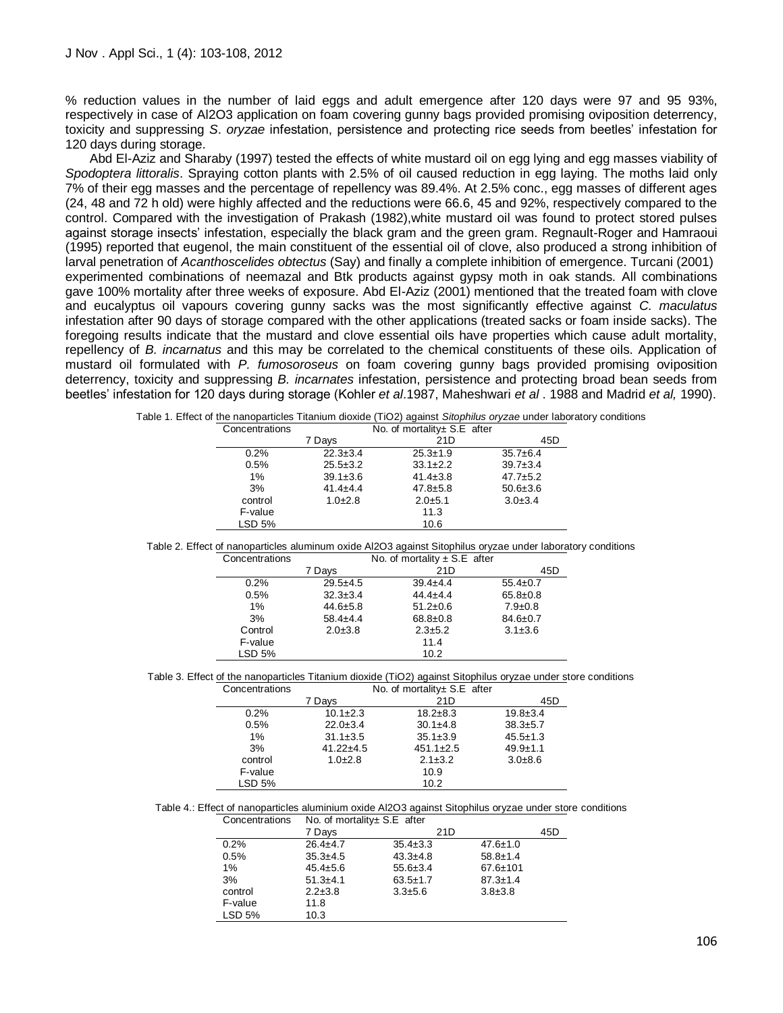% reduction values in the number of laid eggs and adult emergence after 120 days were 97 and 95 93%, respectively in case of Al2O3 application on foam covering gunny bags provided promising oviposition deterrency, toxicity and suppressing *S*. *oryzae* infestation, persistence and protecting rice seeds from beetles" infestation for 120 days during storage.

Abd El-Aziz and Sharaby (1997) tested the effects of white mustard oil on egg lying and egg masses viability of *Spodoptera littoralis*. Spraying cotton plants with 2.5% of oil caused reduction in egg laying. The moths laid only 7% of their egg masses and the percentage of repellency was 89.4%. At 2.5% conc., egg masses of different ages (24, 48 and 72 h old) were highly affected and the reductions were 66.6, 45 and 92%, respectively compared to the control. Compared with the investigation of Prakash (1982),white mustard oil was found to protect stored pulses against storage insects" infestation, especially the black gram and the green gram. Regnault-Roger and Hamraoui (1995) reported that eugenol, the main constituent of the essential oil of clove, also produced a strong inhibition of larval penetration of *Acanthoscelides obtectus* (Say) and finally a complete inhibition of emergence. Turcani (2001) experimented combinations of neemazal and Btk products against gypsy moth in oak stands. All combinations gave 100% mortality after three weeks of exposure. Abd El-Aziz (2001) mentioned that the treated foam with clove and eucalyptus oil vapours covering gunny sacks was the most significantly effective against *C. maculatus* infestation after 90 days of storage compared with the other applications (treated sacks or foam inside sacks). The foregoing results indicate that the mustard and clove essential oils have properties which cause adult mortality, repellency of *B. incarnatus* and this may be correlated to the chemical constituents of these oils. Application of mustard oil formulated with *P. fumosoroseus* on foam covering gunny bags provided promising oviposition deterrency, toxicity and suppressing *B. incarnates* infestation, persistence and protecting broad bean seeds from beetles" infestation for 120 days during storage (Kohler *et al*.1987, Maheshwari *et al* . 1988 and Madrid *et al,* 1990).

|                |                |                              | Lifect of the nanoparticles Titalifulni dioxide (TiOZ) against <i>Shophillus officed</i> difuer faboratory |  |  |  |  |
|----------------|----------------|------------------------------|------------------------------------------------------------------------------------------------------------|--|--|--|--|
| Concentrations |                | No. of mortality + S.E after |                                                                                                            |  |  |  |  |
|                | 7 Davs         | 21D                          | 45D                                                                                                        |  |  |  |  |
| 0.2%           | $22.3 \pm 3.4$ | $25.3 \pm 1.9$               | $35.7 \pm 6.4$                                                                                             |  |  |  |  |
| 0.5%           | $25.5 \pm 3.2$ | $33.1 \pm 2.2$               | $39.7 \pm 3.4$                                                                                             |  |  |  |  |
| $1\%$          | $39.1 \pm 3.6$ | $41.4 \pm 3.8$               | $47.7 \pm 5.2$                                                                                             |  |  |  |  |
| 3%             | $41.4 \pm 4.4$ | $47.8 \pm 5.8$               | $50.6 \pm 3.6$                                                                                             |  |  |  |  |
| control        | $1.0 + 2.8$    | $2.0 + 5.1$                  | $3.0 \pm 3.4$                                                                                              |  |  |  |  |
| F-value        |                | 11.3                         |                                                                                                            |  |  |  |  |
| LSD 5%         |                | 10.6                         |                                                                                                            |  |  |  |  |

Table 1. Effect of the nanoparticles Titanium dioxide (TiO2) against *Sitophilus oryzae* under laboratory conditions

| Table 2. Effect of nanoparticles aluminum oxide Al2O3 against Sitophilus oryzae under laboratory conditions |  |  |  |  |  |  |
|-------------------------------------------------------------------------------------------------------------|--|--|--|--|--|--|
|                                                                                                             |  |  |  |  |  |  |

| Concentrations |                | No. of mortality $\pm$ S.E after |                |
|----------------|----------------|----------------------------------|----------------|
|                | 7 Days         | 21D                              | 45D            |
| 0.2%           | $29.5 + 4.5$   | $39.4 \pm 4.4$                   | $55.4 \pm 0.7$ |
| 0.5%           | $32.3 \pm 3.4$ | $44.4 \pm 4.4$                   | $65.8 \pm 0.8$ |
| 1%             | $44.6 + 5.8$   | $51.2 \pm 0.6$                   | $7.9 \pm 0.8$  |
| 3%             | $58.4 + 4.4$   | $68.8 \pm 0.8$                   | $84.6 \pm 0.7$ |
| Control        | $2.0 \pm 3.8$  | $2.3 \pm 5.2$                    | $3.1 \pm 3.6$  |
| F-value        |                | 11.4                             |                |
| LSD 5%         |                | 10.2                             |                |

| Table 3. Effect of the nanoparticles Titanium dioxide (TiO2) against Sitophilus oryzae under store conditions |  |  |  |  |  |  |  |
|---------------------------------------------------------------------------------------------------------------|--|--|--|--|--|--|--|
|                                                                                                               |  |  |  |  |  |  |  |

| Concentrations |                | No. of mortality± S.E after |                |  |  |
|----------------|----------------|-----------------------------|----------------|--|--|
|                | 7 Davs         | 21D                         | 45D            |  |  |
| 0.2%           | $10.1 \pm 2.3$ | $18.2 \pm 8.3$              | $19.8 \pm 3.4$ |  |  |
| 0.5%           | $22.0 \pm 3.4$ | $30.1 \pm 4.8$              | $38.3 + 5.7$   |  |  |
| $1\%$          | $31.1 \pm 3.5$ | $35.1 \pm 3.9$              | $45.5 \pm 1.3$ |  |  |
| 3%             | $41.22 + 4.5$  | $451.1 \pm 2.5$             | $49.9 + 1.1$   |  |  |
| control        | $1.0+2.8$      | $2.1 \pm 3.2$               | $3.0 + 8.6$    |  |  |
| F-value        |                | 10.9                        |                |  |  |
| LSD 5%         |                | 10.2                        |                |  |  |

Table 4.: Effect of nanoparticles aluminium oxide Al2O3 against Sitophilus oryzae under store conditions

| Concentrations | No. of mortality± S.E after |                |                |     |  |  |
|----------------|-----------------------------|----------------|----------------|-----|--|--|
|                | 7 Days                      | 21D            |                | 45D |  |  |
| 0.2%           | $26.4 + 4.7$                | $35.4 \pm 3.3$ | $47.6 \pm 1.0$ |     |  |  |
| 0.5%           | $35.3 \pm 4.5$              | $43.3 \pm 4.8$ | $58.8 \pm 1.4$ |     |  |  |
| 1%             | $45.4 \pm 5.6$              | $55.6 \pm 3.4$ | $67.6 \pm 101$ |     |  |  |
| 3%             | $51.3 + 4.1$                | $63.5 \pm 1.7$ | $87.3 \pm 1.4$ |     |  |  |
| control        | $2.2 \pm 3.8$               | $3.3 + 5.6$    | $3.8 \pm 3.8$  |     |  |  |
| F-value        | 11.8                        |                |                |     |  |  |
| LSD 5%         | 10.3                        |                |                |     |  |  |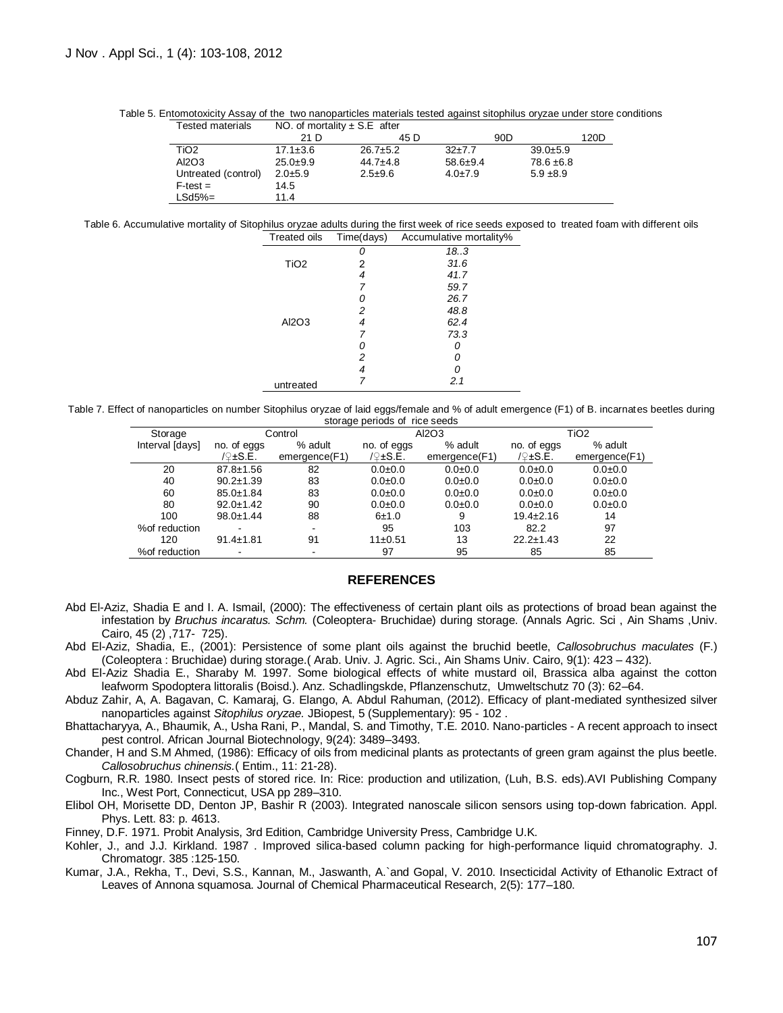Table 5. Entomotoxicity Assay of the two nanoparticles materials tested against sitophilus oryzae under store conditions

| Tested materials    | NO. of mortality $\pm$ S.E after |                |                |                |      |
|---------------------|----------------------------------|----------------|----------------|----------------|------|
|                     | 21 D                             | 45 D           |                | 90D            | 120D |
| TiO <sub>2</sub>    | $17.1 \pm 3.6$                   | $26.7 \pm 5.2$ | $32+7.7$       | $39.0 + 5.9$   |      |
| AI2O3               | $25.0+9.9$                       | $44.7 \pm 4.8$ | $58.6 \pm 9.4$ | $78.6 \pm 6.8$ |      |
| Untreated (control) | $2.0 + 5.9$                      | $2.5 + 9.6$    | $4.0 \pm 7.9$  | $5.9 + 8.9$    |      |
| $F-test =$          | 14.5                             |                |                |                |      |
| LSd5%=              | 11.4                             |                |                |                |      |

Table 6. Accumulative mortality of Sitophilus oryzae adults during the first week of rice seeds exposed to treated foam with different oils Treated oils Time(days) Accumulative mortality%

| n i vulvu viiv   | $inv($ uuyo $)$ | $1$ to our narrow $\sigma$ in order $\gamma$ |
|------------------|-----------------|----------------------------------------------|
|                  |                 | 18.3                                         |
| TiO <sub>2</sub> | 2               | 31.6                                         |
|                  | 4               | 41.7                                         |
|                  | 7               | 59.7                                         |
|                  | 0               | 26.7                                         |
|                  | 2               | 48.8                                         |
| Al2O3            | 4               | 62.4                                         |
|                  | 7               | 73.3                                         |
|                  | 0               |                                              |
|                  | 2               |                                              |
|                  | 4               |                                              |
| untreated        | 7               | 2.1                                          |

Table 7. Effect of nanoparticles on number Sitophilus oryzae of laid eggs/female and % of adult emergence (F1) of B. incarnates beetles during storage periods of rice seeds

| Storage         |                          | Control       |             | AI2O3         |                 | TiO <sub>2</sub> |
|-----------------|--------------------------|---------------|-------------|---------------|-----------------|------------------|
| Interval [days] | no. of eggs              | % adult       | no. of eggs | % adult       | no. of eggs     | % adult          |
|                 | /2±S.E.                  | emergence(F1) | $19±$ S.E.  | emergence(F1) | $12±$ S.E.      | emergence(F1)    |
| 20              | $87.8 \pm 1.56$          | 82            | $0.0 + 0.0$ | $0.0 + 0.0$   | $0.0 + 0.0$     | $0.0 + 0.0$      |
| 40              | $90.2 \pm 1.39$          | 83            | $0.0 + 0.0$ | $0.0 + 0.0$   | $0.0 + 0.0$     | $0.0 + 0.0$      |
| 60              | $85.0 \pm 1.84$          | 83            | $0.0 + 0.0$ | $0.0 + 0.0$   | $0.0 + 0.0$     | $0.0 + 0.0$      |
| 80              | $92.0 \pm 1.42$          | 90            | $0.0 + 0.0$ | $0.0 + 0.0$   | $0.0 + 0.0$     | $0.0 + 0.0$      |
| 100             | $98.0 \pm 1.44$          | 88            | 6±1.0       | 9             | $19.4 \pm 2.16$ | 14               |
| % of reduction  |                          |               | 95          | 103           | 82.2            | 97               |
| 120             | $91.4 \pm 1.81$          | 91            | 11±0.51     | 13            | $22.2 \pm 1.43$ | 22               |
| % of reduction  | $\overline{\phantom{a}}$ | -             | 97          | 95            | 85              | 85               |

#### **REFERENCES**

Abd El-Aziz, Shadia E and I. A. Ismail, (2000): The effectiveness of certain plant oils as protections of broad bean against the infestation by *Bruchus incaratus. Schm.* (Coleoptera- Bruchidae) during storage. (Annals Agric. Sci , Ain Shams ,Univ. Cairo, 45 (2) ,717- 725).

Abd El-Aziz, Shadia, E., (2001): Persistence of some plant oils against the bruchid beetle, *Callosobruchus maculates* (F.) (Coleoptera : Bruchidae) during storage.( Arab. Univ. J. Agric. Sci., Ain Shams Univ. Cairo, 9(1): 423 – 432).

Abd El-Aziz Shadia E., Sharaby M. 1997. Some biological effects of white mustard oil, Brassica alba against the cotton leafworm Spodoptera littoralis (Boisd.). Anz. Schadlingskde, Pflanzenschutz, Umweltschutz 70 (3): 62–64.

Abduz Zahir, A, A. Bagavan, C. Kamaraj, G. Elango, A. Abdul Rahuman, (2012). Efficacy of plant-mediated synthesized silver nanoparticles against *Sitophilus oryzae.* JBiopest, 5 (Supplementary): 95 - 102 .

Bhattacharyya, A., Bhaumik, A., Usha Rani, P., Mandal, S. and Timothy, T.E. 2010. Nano-particles - A recent approach to insect pest control. African Journal Biotechnology, 9(24): 3489–3493.

Chander, H and S.M Ahmed, (1986): Efficacy of oils from medicinal plants as protectants of green gram against the plus beetle. *Callosobruchus chinensis.*( Entim., 11: 21-28).

Cogburn, R.R. 1980. Insect pests of stored rice. In: Rice: production and utilization, (Luh, B.S. eds).AVI Publishing Company Inc., West Port, Connecticut, USA pp 289–310.

Elibol OH, Morisette DD, Denton JP, Bashir R (2003). Integrated nanoscale silicon sensors using top-down fabrication. Appl. Phys. Lett. 83: p. 4613.

Finney, D.F. 1971. Probit Analysis, 3rd Edition, Cambridge University Press, Cambridge U.K.

Kohler, J., and J.J. Kirkland. 1987 . Improved silica-based column packing for high-performance liquid chromatography. J. Chromatogr. 385 :125-150.

Kumar, J.A., Rekha, T., Devi, S.S., Kannan, M., Jaswanth, A.`and Gopal, V. 2010. Insecticidal Activity of Ethanolic Extract of Leaves of Annona squamosa. Journal of Chemical Pharmaceutical Research, 2(5): 177–180.